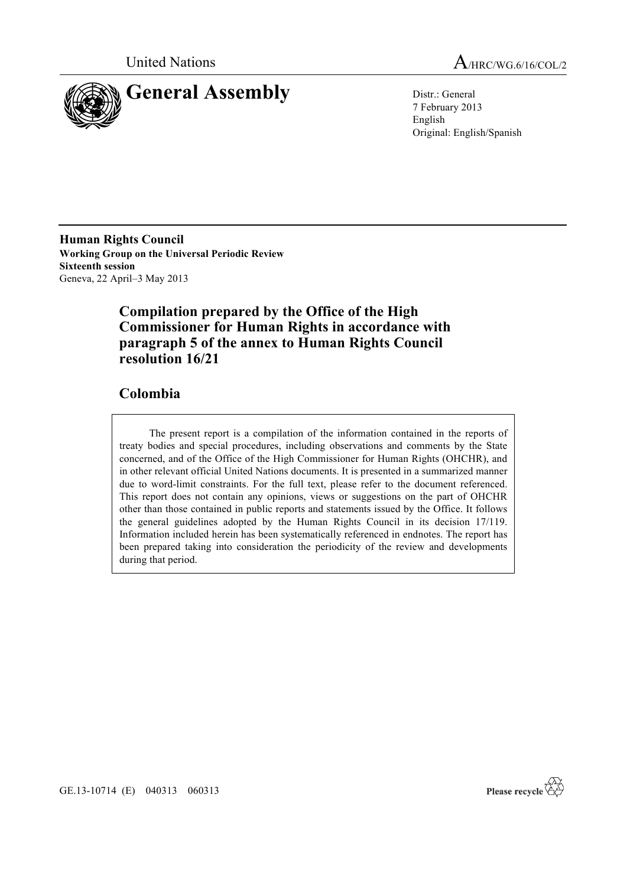

United Nations A/HRC/WG.6/16/COL/2

7 February 2013 English Original: English/Spanish

**Human Rights Council Working Group on the Universal Periodic Review Sixteenth session** Geneva, 22 April–3 May 2013

# **Compilation prepared by the Office of the High Commissioner for Human Rights in accordance with paragraph 5 of the annex to Human Rights Council resolution 16/21**

# **Colombia**

The present report is a compilation of the information contained in the reports of treaty bodies and special procedures, including observations and comments by the State concerned, and of the Office of the High Commissioner for Human Rights (OHCHR), and in other relevant official United Nations documents. It is presented in a summarized manner due to word-limit constraints. For the full text, please refer to the document referenced. This report does not contain any opinions, views or suggestions on the part of OHCHR other than those contained in public reports and statements issued by the Office. It follows the general guidelines adopted by the Human Rights Council in its decision 17/119. Information included herein has been systematically referenced in endnotes. The report has been prepared taking into consideration the periodicity of the review and developments during that period.



GE.13-10714 (E) 040313 060313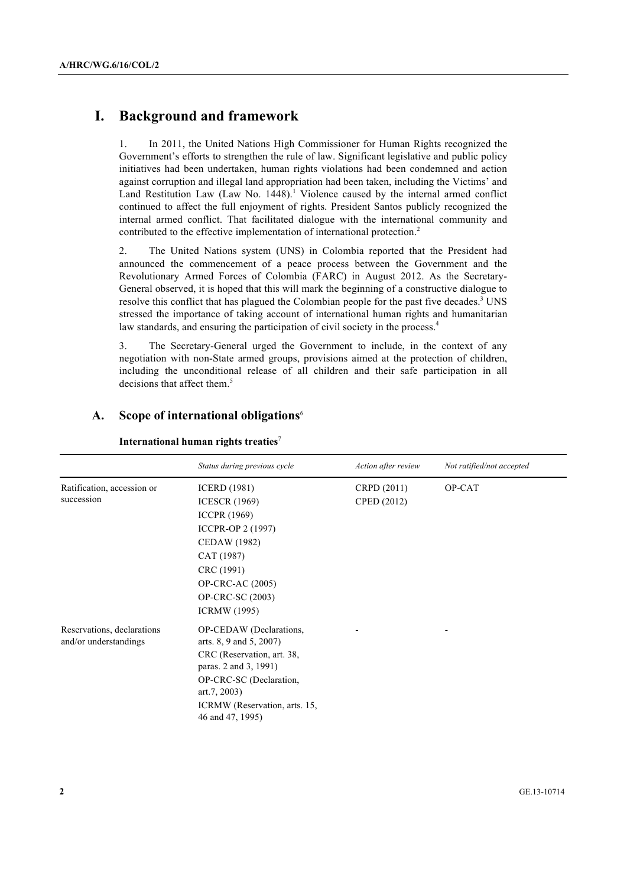# **I. Background and framework**

1. In 2011, the United Nations High Commissioner for Human Rights recognized the Government's efforts to strengthen the rule of law. Significant legislative and public policy initiatives had been undertaken, human rights violations had been condemned and action against corruption and illegal land appropriation had been taken, including the Victims' and Land Restitution Law (Law No.  $1448$ ).<sup>1</sup> Violence caused by the internal armed conflict continued to affect the full enjoyment of rights. President Santos publicly recognized the internal armed conflict. That facilitated dialogue with the international community and contributed to the effective implementation of international protection.<sup>2</sup>

2. The United Nations system (UNS) in Colombia reported that the President had announced the commencement of a peace process between the Government and the Revolutionary Armed Forces of Colombia (FARC) in August 2012. As the Secretary-General observed, it is hoped that this will mark the beginning of a constructive dialogue to resolve this conflict that has plagued the Colombian people for the past five decades.<sup>3</sup> UNS stressed the importance of taking account of international human rights and humanitarian law standards, and ensuring the participation of civil society in the process.<sup>4</sup>

3. The Secretary-General urged the Government to include, in the context of any negotiation with non-State armed groups, provisions aimed at the protection of children, including the unconditional release of all children and their safe participation in all decisions that affect them.<sup>5</sup>

|                            | Status during previous cycle                      | Action after review | Not ratified/not accepted |
|----------------------------|---------------------------------------------------|---------------------|---------------------------|
| Ratification, accession or | <b>ICERD</b> (1981)                               | CRPD (2011)         | OP-CAT                    |
| succession                 | <b>ICESCR</b> (1969)                              | CPED (2012)         |                           |
|                            | <b>ICCPR</b> (1969)                               |                     |                           |
|                            | ICCPR-OP 2 (1997)                                 |                     |                           |
|                            | <b>CEDAW</b> (1982)                               |                     |                           |
|                            | CAT (1987)                                        |                     |                           |
|                            | CRC (1991)                                        |                     |                           |
|                            | OP-CRC-AC (2005)                                  |                     |                           |
|                            | OP-CRC-SC (2003)                                  |                     |                           |
|                            | <b>ICRMW</b> (1995)                               |                     |                           |
| Reservations, declarations | OP-CEDAW (Declarations,                           |                     |                           |
| and/or understandings      | arts. 8, 9 and 5, 2007)                           |                     |                           |
|                            | CRC (Reservation, art. 38,                        |                     |                           |
|                            | paras. 2 and 3, 1991)                             |                     |                           |
|                            | OP-CRC-SC (Declaration,                           |                     |                           |
|                            | art.7, 2003                                       |                     |                           |
|                            | ICRMW (Reservation, arts. 15,<br>46 and 47, 1995) |                     |                           |

#### **A. Scope of international obligations**<sup>6</sup>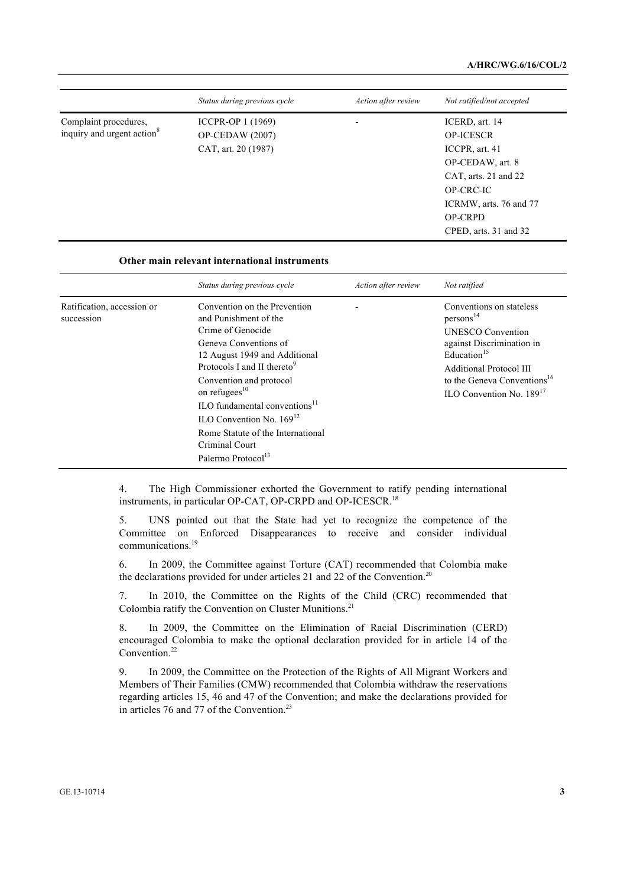|                                                                 | Status during previous cycle                                       | Action after review | Not ratified/not accepted                                                                                                                                                          |
|-----------------------------------------------------------------|--------------------------------------------------------------------|---------------------|------------------------------------------------------------------------------------------------------------------------------------------------------------------------------------|
| Complaint procedures,<br>inquiry and urgent action <sup>8</sup> | ICCPR-OP 1 (1969)<br><b>OP-CEDAW</b> (2007)<br>CAT, art. 20 (1987) | -                   | ICERD, art. 14<br><b>OP-ICESCR</b><br>ICCPR, art. 41<br>OP-CEDAW, art. 8<br>CAT, arts. 21 and 22<br>OP-CRC-IC<br>ICRMW, arts. 76 and 77<br><b>OP-CRPD</b><br>CPED, arts. 31 and 32 |

#### **Other main relevant international instruments**

|                                          | Status during previous cycle                                                                                                                                                                                                                                                                                                                                                                                   | Action after review | Not ratified                                                                                                                                                                                                                               |
|------------------------------------------|----------------------------------------------------------------------------------------------------------------------------------------------------------------------------------------------------------------------------------------------------------------------------------------------------------------------------------------------------------------------------------------------------------------|---------------------|--------------------------------------------------------------------------------------------------------------------------------------------------------------------------------------------------------------------------------------------|
| Ratification, accession or<br>succession | Convention on the Prevention<br>and Punishment of the<br>Crime of Genocide<br>Geneva Conventions of<br>12 August 1949 and Additional<br>Protocols I and II thereto <sup>9</sup><br>Convention and protocol<br>on refugees <sup>10</sup><br>ILO fundamental conventions <sup>11</sup><br>ILO Convention No. $169^{12}$<br>Rome Statute of the International<br>Criminal Court<br>Palermo Protocol <sup>13</sup> |                     | Conventions on stateless<br>persons <sup>14</sup><br><b>UNESCO</b> Convention<br>against Discrimination in<br>Education $15$<br><b>Additional Protocol III</b><br>to the Geneva Conventions <sup>16</sup><br>ILO Convention No. $189^{17}$ |

4. The High Commissioner exhorted the Government to ratify pending international instruments, in particular OP-CAT, OP-CRPD and OP-ICESCR.<sup>18</sup>

5. UNS pointed out that the State had yet to recognize the competence of the Committee on Enforced Disappearances to receive and consider individual communications.<sup>19</sup>

6. In 2009, the Committee against Torture (CAT) recommended that Colombia make the declarations provided for under articles 21 and 22 of the Convention.<sup>20</sup>

7. In 2010, the Committee on the Rights of the Child (CRC) recommended that Colombia ratify the Convention on Cluster Munitions.<sup>21</sup>

8. In 2009, the Committee on the Elimination of Racial Discrimination (CERD) encouraged Colombia to make the optional declaration provided for in article 14 of the Convention.<sup>22</sup>

9. In 2009, the Committee on the Protection of the Rights of All Migrant Workers and Members of Their Families (CMW) recommended that Colombia withdraw the reservations regarding articles 15, 46 and 47 of the Convention; and make the declarations provided for in articles 76 and 77 of the Convention.<sup>23</sup>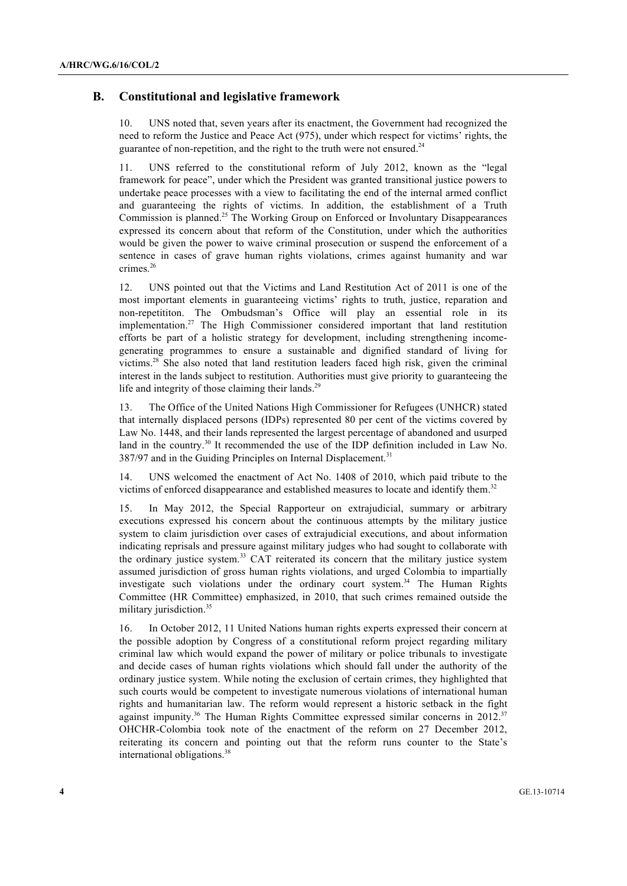### **B. Constitutional and legislative framework**

10. UNS noted that, seven years after its enactment, the Government had recognized the need to reform the Justice and Peace Act (975), under which respect for victims' rights, the guarantee of non-repetition, and the right to the truth were not ensured.<sup>24</sup>

11. UNS referred to the constitutional reform of July 2012, known as the "legal framework for peace", under which the President was granted transitional justice powers to undertake peace processes with a view to facilitating the end of the internal armed conflict and guaranteeing the rights of victims. In addition, the establishment of a Truth Commission is planned.<sup>25</sup> The Working Group on Enforced or Involuntary Disappearances expressed its concern about that reform of the Constitution, under which the authorities would be given the power to waive criminal prosecution or suspend the enforcement of a sentence in cases of grave human rights violations, crimes against humanity and war crimes.<sup>26</sup>

12. UNS pointed out that the Victims and Land Restitution Act of 2011 is one of the most important elements in guaranteeing victims' rights to truth, justice, reparation and non-repetititon. The Ombudsman's Office will play an essential role in its implementation.<sup>27</sup> The High Commissioner considered important that land restitution efforts be part of a holistic strategy for development, including strengthening incomegenerating programmes to ensure a sustainable and dignified standard of living for victims.28 She also noted that land restitution leaders faced high risk, given the criminal interest in the lands subject to restitution. Authorities must give priority to guaranteeing the life and integrity of those claiming their lands.<sup>29</sup>

13. The Office of the United Nations High Commissioner for Refugees (UNHCR) stated that internally displaced persons (IDPs) represented 80 per cent of the victims covered by Law No. 1448, and their lands represented the largest percentage of abandoned and usurped land in the country.<sup>30</sup> It recommended the use of the IDP definition included in Law No. 387/97 and in the Guiding Principles on Internal Displacement.<sup>31</sup>

14. UNS welcomed the enactment of Act No. 1408 of 2010, which paid tribute to the victims of enforced disappearance and established measures to locate and identify them.<sup>32</sup>

15. In May 2012, the Special Rapporteur on extrajudicial, summary or arbitrary executions expressed his concern about the continuous attempts by the military justice system to claim jurisdiction over cases of extrajudicial executions, and about information indicating reprisals and pressure against military judges who had sought to collaborate with the ordinary justice system.<sup>33</sup> CAT reiterated its concern that the military justice system assumed jurisdiction of gross human rights violations, and urged Colombia to impartially investigate such violations under the ordinary court system.<sup>34</sup> The Human Rights Committee (HR Committee) emphasized, in 2010, that such crimes remained outside the military jurisdiction.<sup>35</sup>

16. In October 2012, 11 United Nations human rights experts expressed their concern at the possible adoption by Congress of a constitutional reform project regarding military criminal law which would expand the power of military or police tribunals to investigate and decide cases of human rights violations which should fall under the authority of the ordinary justice system. While noting the exclusion of certain crimes, they highlighted that such courts would be competent to investigate numerous violations of international human rights and humanitarian law. The reform would represent a historic setback in the fight against impunity.<sup>36</sup> The Human Rights Committee expressed similar concerns in 2012.<sup>37</sup> OHCHR-Colombia took note of the enactment of the reform on 27 December 2012, reiterating its concern and pointing out that the reform runs counter to the State's international obligations.<sup>38</sup>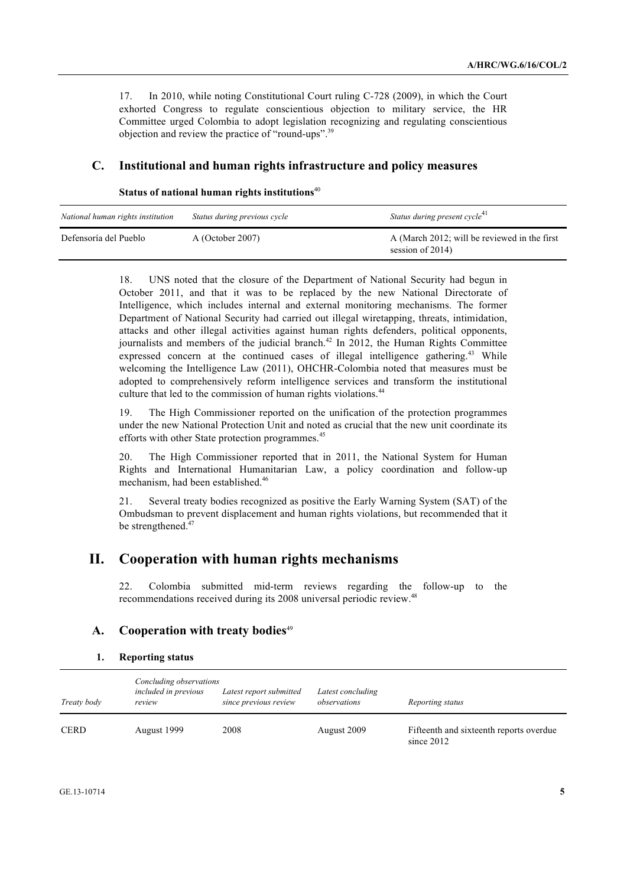17. In 2010, while noting Constitutional Court ruling C-728 (2009), in which the Court exhorted Congress to regulate conscientious objection to military service, the HR Committee urged Colombia to adopt legislation recognizing and regulating conscientious objection and review the practice of "round-ups".<sup>39</sup>

### **C. Institutional and human rights infrastructure and policy measures**

| Status of national human rights institutions <sup>40</sup> |  |  |  |  |  |
|------------------------------------------------------------|--|--|--|--|--|
|------------------------------------------------------------|--|--|--|--|--|

| National human rights institution | Status during previous cycle | Status during present cycle <sup>41</sup>                        |
|-----------------------------------|------------------------------|------------------------------------------------------------------|
| Defensoría del Pueblo             | A (October 2007)             | A (March 2012; will be reviewed in the first<br>session of 2014) |

18. UNS noted that the closure of the Department of National Security had begun in October 2011, and that it was to be replaced by the new National Directorate of Intelligence, which includes internal and external monitoring mechanisms. The former Department of National Security had carried out illegal wiretapping, threats, intimidation, attacks and other illegal activities against human rights defenders, political opponents, journalists and members of the judicial branch.<sup>42</sup> In 2012, the Human Rights Committee expressed concern at the continued cases of illegal intelligence gathering.<sup>43</sup> While welcoming the Intelligence Law (2011), OHCHR-Colombia noted that measures must be adopted to comprehensively reform intelligence services and transform the institutional culture that led to the commission of human rights violations.<sup>44</sup>

19. The High Commissioner reported on the unification of the protection programmes under the new National Protection Unit and noted as crucial that the new unit coordinate its efforts with other State protection programmes.<sup>45</sup>

20. The High Commissioner reported that in 2011, the National System for Human Rights and International Humanitarian Law, a policy coordination and follow-up mechanism, had been established.<sup>46</sup>

21. Several treaty bodies recognized as positive the Early Warning System (SAT) of the Ombudsman to prevent displacement and human rights violations, but recommended that it be strengthened.<sup>47</sup>

# **II. Cooperation with human rights mechanisms**

22. Colombia submitted mid-term reviews regarding the follow-up to the recommendations received during its 2008 universal periodic review.<sup>48</sup>

### A. Cooperation with treaty bodies<sup>49</sup>

|  | 1. | <b>Reporting status</b> |  |
|--|----|-------------------------|--|
|--|----|-------------------------|--|

| Treaty body | Concluding observations<br>included in previous<br>review | Latest report submitted<br>since previous review | Latest concluding<br>observations | Reporting status                                        |
|-------------|-----------------------------------------------------------|--------------------------------------------------|-----------------------------------|---------------------------------------------------------|
| <b>CERD</b> | August 1999                                               | 2008                                             | August 2009                       | Fifteenth and sixteenth reports overdue<br>since $2012$ |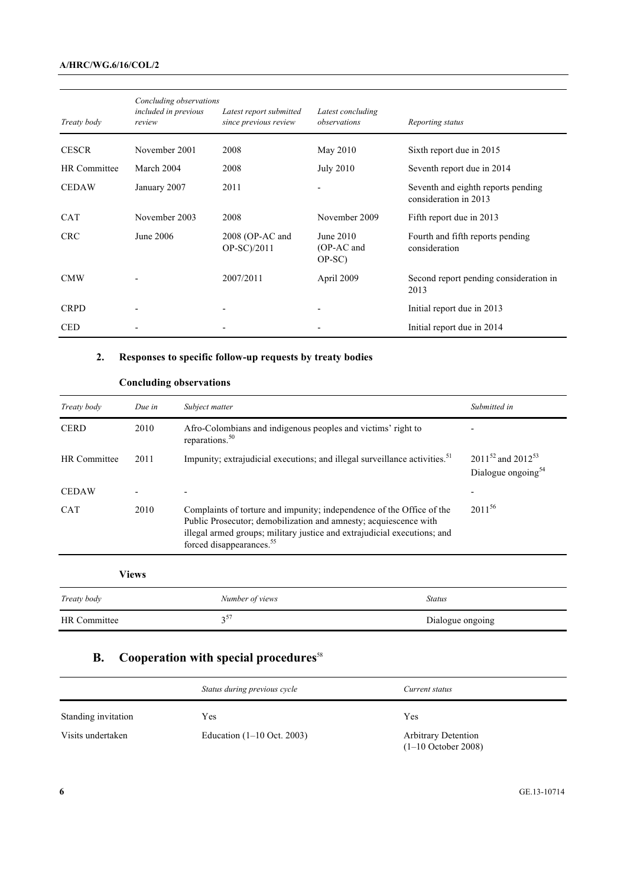#### **A/HRC/WG.6/16/COL/2**

| Treaty body         | Concluding observations<br><i>included in previous</i><br>review | Latest report submitted<br>since previous review | Latest concluding<br>observations | Reporting status                                            |
|---------------------|------------------------------------------------------------------|--------------------------------------------------|-----------------------------------|-------------------------------------------------------------|
| <b>CESCR</b>        | November 2001                                                    | 2008                                             | May 2010                          | Sixth report due in 2015                                    |
| <b>HR</b> Committee | March 2004                                                       | 2008                                             | <b>July 2010</b>                  | Seventh report due in 2014                                  |
| <b>CEDAW</b>        | January 2007                                                     | 2011                                             |                                   | Seventh and eighth reports pending<br>consideration in 2013 |
| <b>CAT</b>          | November 2003                                                    | 2008                                             | November 2009                     | Fifth report due in 2013                                    |
| <b>CRC</b>          | June 2006                                                        | $2008$ (OP-AC and<br>OP-SC)/2011                 | June 2010<br>(OP-AC and<br>OP-SC) | Fourth and fifth reports pending<br>consideration           |
| <b>CMW</b>          |                                                                  | 2007/2011                                        | April 2009                        | Second report pending consideration in<br>2013              |
| <b>CRPD</b>         |                                                                  |                                                  |                                   | Initial report due in 2013                                  |
| <b>CED</b>          |                                                                  |                                                  |                                   | Initial report due in 2014                                  |

# **2. Responses to specific follow-up requests by treaty bodies**

### **Concluding observations**

| Treaty body         | Due in       | Subject matter                                                                                                                                                                                                                                                | Submitted in                                                  |
|---------------------|--------------|---------------------------------------------------------------------------------------------------------------------------------------------------------------------------------------------------------------------------------------------------------------|---------------------------------------------------------------|
| <b>CERD</b>         | 2010         | Afro-Colombians and indigenous peoples and victims' right to<br>reparations. <sup>50</sup>                                                                                                                                                                    |                                                               |
| <b>HR</b> Committee | 2011         | Impunity; extrajudicial executions; and illegal surveillance activities. <sup>51</sup>                                                                                                                                                                        | $2011^{52}$ and $2012^{53}$<br>Dialogue ongoing <sup>54</sup> |
| <b>CEDAW</b>        |              |                                                                                                                                                                                                                                                               |                                                               |
| <b>CAT</b>          | 2010         | Complaints of torture and impunity; independence of the Office of the<br>Public Prosecutor; demobilization and amnesty; acquiescence with<br>illegal armed groups; military justice and extrajudicial executions; and<br>forced disappearances. <sup>55</sup> | $2011^{56}$                                                   |
|                     | <b>Views</b> |                                                                                                                                                                                                                                                               |                                                               |
| Treaty body         |              | Number of views<br><b>Status</b>                                                                                                                                                                                                                              |                                                               |
| <b>HR</b> Committee |              | $3^{57}$                                                                                                                                                                                                                                                      | Dialogue ongoing                                              |

# **B.** Cooperation with special procedures<sup>58</sup>

|                     | Status during previous cycle          | Current status                                      |
|---------------------|---------------------------------------|-----------------------------------------------------|
| Standing invitation | Yes                                   | Yes                                                 |
| Visits undertaken   | Education $(1-10 \text{ Oct. } 2003)$ | <b>Arbitrary Detention</b><br>$(1-10$ October 2008) |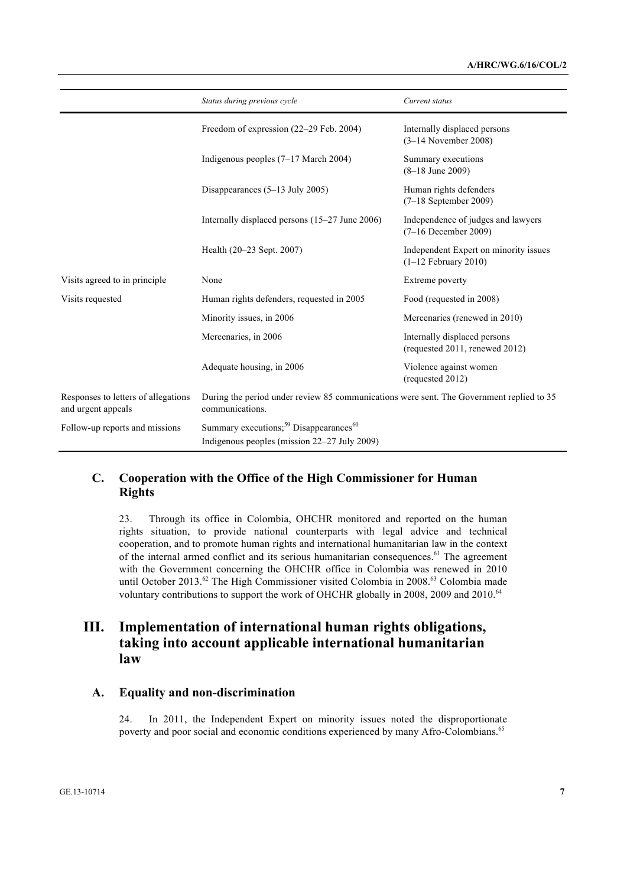|                                                           | Status during previous cycle                                                                                   | Current status                                                  |
|-----------------------------------------------------------|----------------------------------------------------------------------------------------------------------------|-----------------------------------------------------------------|
|                                                           | Freedom of expression (22-29 Feb. 2004)                                                                        | Internally displaced persons<br>$(3-14$ November 2008)          |
|                                                           | Indigenous peoples $(7-17$ March 2004)                                                                         | Summary executions<br>$(8-18$ June 2009)                        |
|                                                           | Disappearances $(5-13$ July 2005)                                                                              | Human rights defenders<br>$(7-18$ September 2009)               |
|                                                           | Internally displaced persons (15-27 June 2006)                                                                 | Independence of judges and lawyers<br>$(7-16$ December 2009)    |
|                                                           | Health (20–23 Sept. 2007)                                                                                      | Independent Expert on minority issues<br>$(1-12$ February 2010) |
| Visits agreed to in principle                             | None                                                                                                           | Extreme poverty                                                 |
| Visits requested                                          | Human rights defenders, requested in 2005                                                                      | Food (requested in 2008)                                        |
|                                                           | Minority issues, in 2006                                                                                       | Mercenaries (renewed in 2010)                                   |
|                                                           | Mercenaries, in 2006                                                                                           | Internally displaced persons<br>(requested 2011, renewed 2012)  |
|                                                           | Adequate housing, in 2006                                                                                      | Violence against women<br>(requested 2012)                      |
| Responses to letters of allegations<br>and urgent appeals | During the period under review 85 communications were sent. The Government replied to 35<br>communications.    |                                                                 |
| Follow-up reports and missions                            | Summary executions; <sup>59</sup> Disappearances <sup>60</sup><br>Indigenous peoples (mission 22–27 July 2009) |                                                                 |

### **C. Cooperation with the Office of the High Commissioner for Human Rights**

23. Through its office in Colombia, OHCHR monitored and reported on the human rights situation, to provide national counterparts with legal advice and technical cooperation, and to promote human rights and international humanitarian law in the context of the internal armed conflict and its serious humanitarian consequences.<sup>61</sup> The agreement with the Government concerning the OHCHR office in Colombia was renewed in 2010 until October 2013.<sup>62</sup> The High Commissioner visited Colombia in 2008.<sup>63</sup> Colombia made voluntary contributions to support the work of OHCHR globally in 2008, 2009 and 2010.<sup>64</sup>

# **III. Implementation of international human rights obligations, taking into account applicable international humanitarian law**

### **A. Equality and non-discrimination**

24. In 2011, the Independent Expert on minority issues noted the disproportionate poverty and poor social and economic conditions experienced by many Afro-Colombians.<sup>65</sup>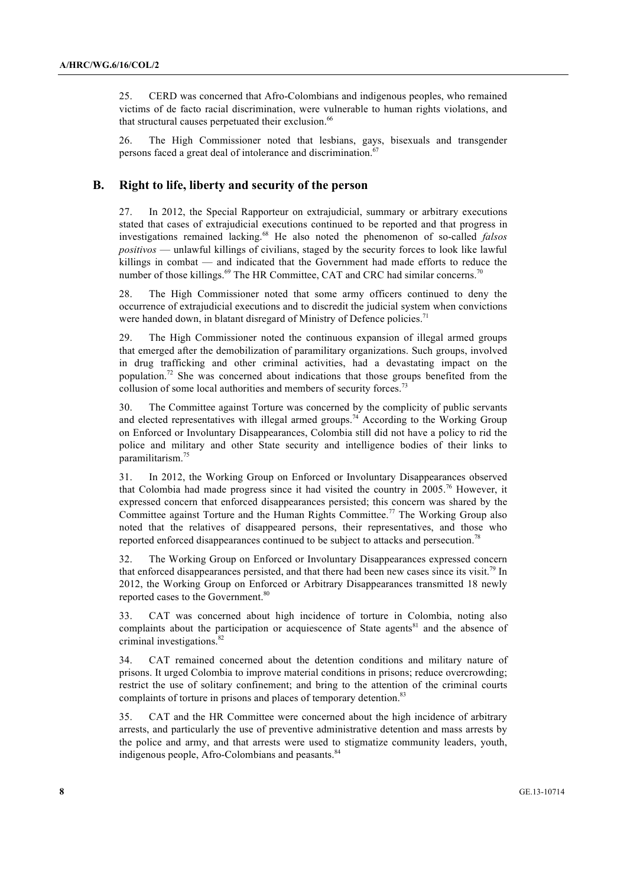25. CERD was concerned that Afro-Colombians and indigenous peoples, who remained victims of de facto racial discrimination, were vulnerable to human rights violations, and that structural causes perpetuated their exclusion.<sup>66</sup>

26. The High Commissioner noted that lesbians, gays, bisexuals and transgender persons faced a great deal of intolerance and discrimination.<sup>67</sup>

#### **B. Right to life, liberty and security of the person**

27. In 2012, the Special Rapporteur on extrajudicial, summary or arbitrary executions stated that cases of extrajudicial executions continued to be reported and that progress in investigations remained lacking.<sup>68</sup> He also noted the phenomenon of so-called *falsos positivos* — unlawful killings of civilians, staged by the security forces to look like lawful killings in combat — and indicated that the Government had made efforts to reduce the number of those killings.<sup>69</sup> The HR Committee, CAT and CRC had similar concerns.<sup>70</sup>

28. The High Commissioner noted that some army officers continued to deny the occurrence of extrajudicial executions and to discredit the judicial system when convictions were handed down, in blatant disregard of Ministry of Defence policies.<sup>71</sup>

29. The High Commissioner noted the continuous expansion of illegal armed groups that emerged after the demobilization of paramilitary organizations. Such groups, involved in drug trafficking and other criminal activities, had a devastating impact on the population.<sup>72</sup> She was concerned about indications that those groups benefited from the collusion of some local authorities and members of security forces.<sup>73</sup>

30. The Committee against Torture was concerned by the complicity of public servants and elected representatives with illegal armed groups.<sup>74</sup> According to the Working Group on Enforced or Involuntary Disappearances, Colombia still did not have a policy to rid the police and military and other State security and intelligence bodies of their links to paramilitarism.<sup>75</sup>

31. In 2012, the Working Group on Enforced or Involuntary Disappearances observed that Colombia had made progress since it had visited the country in 2005.<sup>76</sup> However, it expressed concern that enforced disappearances persisted; this concern was shared by the Committee against Torture and the Human Rights Committee.<sup>77</sup> The Working Group also noted that the relatives of disappeared persons, their representatives, and those who reported enforced disappearances continued to be subject to attacks and persecution.<sup>78</sup>

32. The Working Group on Enforced or Involuntary Disappearances expressed concern that enforced disappearances persisted, and that there had been new cases since its visit.<sup>79</sup> In 2012, the Working Group on Enforced or Arbitrary Disappearances transmitted 18 newly reported cases to the Government.<sup>80</sup>

33. CAT was concerned about high incidence of torture in Colombia, noting also complaints about the participation or acquiescence of State agents<sup>81</sup> and the absence of criminal investigations.<sup>82</sup>

34. CAT remained concerned about the detention conditions and military nature of prisons. It urged Colombia to improve material conditions in prisons; reduce overcrowding; restrict the use of solitary confinement; and bring to the attention of the criminal courts complaints of torture in prisons and places of temporary detention.<sup>83</sup>

35. CAT and the HR Committee were concerned about the high incidence of arbitrary arrests, and particularly the use of preventive administrative detention and mass arrests by the police and army, and that arrests were used to stigmatize community leaders, youth, indigenous people, Afro-Colombians and peasants.<sup>84</sup>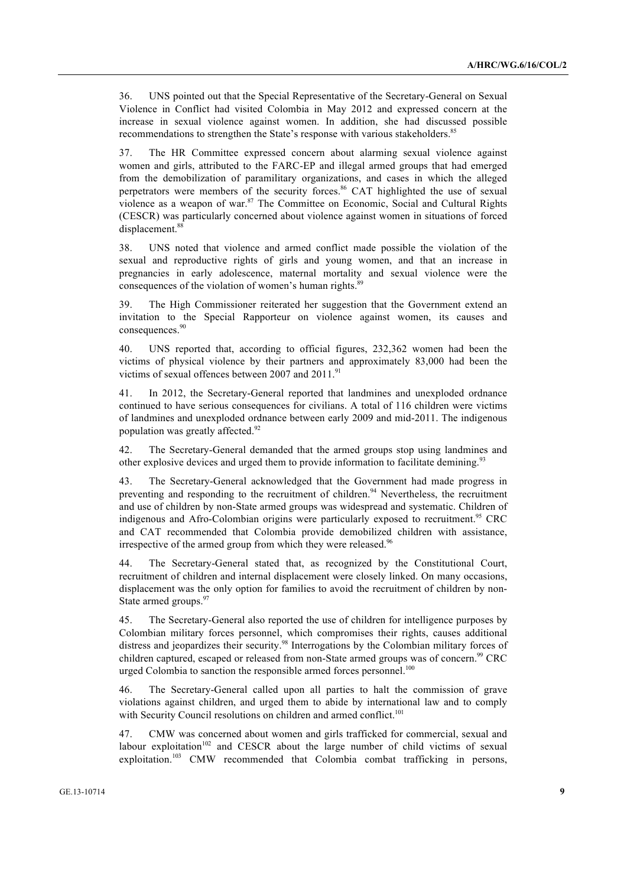36. UNS pointed out that the Special Representative of the Secretary-General on Sexual Violence in Conflict had visited Colombia in May 2012 and expressed concern at the increase in sexual violence against women. In addition, she had discussed possible recommendations to strengthen the State's response with various stakeholders.<sup>85</sup>

37. The HR Committee expressed concern about alarming sexual violence against women and girls, attributed to the FARC-EP and illegal armed groups that had emerged from the demobilization of paramilitary organizations, and cases in which the alleged perpetrators were members of the security forces.<sup>86</sup> CAT highlighted the use of sexual violence as a weapon of war. $87$  The Committee on Economic, Social and Cultural Rights (CESCR) was particularly concerned about violence against women in situations of forced displacement.<sup>88</sup>

38. UNS noted that violence and armed conflict made possible the violation of the sexual and reproductive rights of girls and young women, and that an increase in pregnancies in early adolescence, maternal mortality and sexual violence were the consequences of the violation of women's human rights.<sup>89</sup>

39. The High Commissioner reiterated her suggestion that the Government extend an invitation to the Special Rapporteur on violence against women, its causes and consequences.<sup>90</sup>

40. UNS reported that, according to official figures, 232,362 women had been the victims of physical violence by their partners and approximately 83,000 had been the victims of sexual offences between 2007 and 2011.<sup>91</sup>

41. In 2012, the Secretary-General reported that landmines and unexploded ordnance continued to have serious consequences for civilians. A total of 116 children were victims of landmines and unexploded ordnance between early 2009 and mid-2011. The indigenous population was greatly affected.<sup>92</sup>

42. The Secretary-General demanded that the armed groups stop using landmines and other explosive devices and urged them to provide information to facilitate demining.<sup>93</sup>

43. The Secretary-General acknowledged that the Government had made progress in preventing and responding to the recruitment of children.<sup>94</sup> Nevertheless, the recruitment and use of children by non-State armed groups was widespread and systematic. Children of indigenous and Afro-Colombian origins were particularly exposed to recruitment.<sup>95</sup> CRC and CAT recommended that Colombia provide demobilized children with assistance, irrespective of the armed group from which they were released.<sup>96</sup>

44. The Secretary-General stated that, as recognized by the Constitutional Court, recruitment of children and internal displacement were closely linked. On many occasions, displacement was the only option for families to avoid the recruitment of children by non-State armed groups.<sup>97</sup>

45. The Secretary-General also reported the use of children for intelligence purposes by Colombian military forces personnel, which compromises their rights, causes additional distress and jeopardizes their security.<sup>98</sup> Interrogations by the Colombian military forces of children captured, escaped or released from non-State armed groups was of concern.<sup>99</sup> CRC urged Colombia to sanction the responsible armed forces personnel.<sup>100</sup>

46. The Secretary-General called upon all parties to halt the commission of grave violations against children, and urged them to abide by international law and to comply with Security Council resolutions on children and armed conflict.<sup>101</sup>

47. CMW was concerned about women and girls trafficked for commercial, sexual and labour exploitation<sup>102</sup> and CESCR about the large number of child victims of sexual exploitation.<sup>103</sup> CMW recommended that Colombia combat trafficking in persons,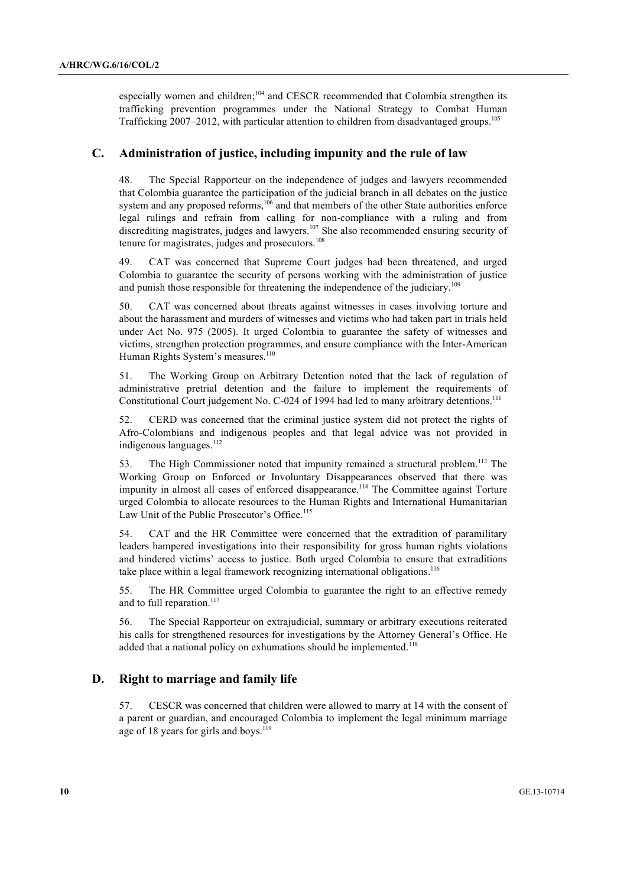especially women and children;<sup>104</sup> and CESCR recommended that Colombia strengthen its trafficking prevention programmes under the National Strategy to Combat Human Trafficking 2007–2012, with particular attention to children from disadvantaged groups.<sup>105</sup>

### **C. Administration of justice, including impunity and the rule of law**

48. The Special Rapporteur on the independence of judges and lawyers recommended that Colombia guarantee the participation of the judicial branch in all debates on the justice system and any proposed reforms,<sup>106</sup> and that members of the other State authorities enforce legal rulings and refrain from calling for non-compliance with a ruling and from discrediting magistrates, judges and lawyers.<sup>107</sup> She also recommended ensuring security of tenure for magistrates, judges and prosecutors.<sup>108</sup>

49. CAT was concerned that Supreme Court judges had been threatened, and urged Colombia to guarantee the security of persons working with the administration of justice and punish those responsible for threatening the independence of the judiciary.<sup>109</sup>

50. CAT was concerned about threats against witnesses in cases involving torture and about the harassment and murders of witnesses and victims who had taken part in trials held under Act No. 975 (2005). It urged Colombia to guarantee the safety of witnesses and victims, strengthen protection programmes, and ensure compliance with the Inter-American Human Rights System's measures.<sup>110</sup>

51. The Working Group on Arbitrary Detention noted that the lack of regulation of administrative pretrial detention and the failure to implement the requirements of Constitutional Court judgement No. C-024 of 1994 had led to many arbitrary detentions.<sup>111</sup>

52. CERD was concerned that the criminal justice system did not protect the rights of Afro-Colombians and indigenous peoples and that legal advice was not provided in indigenous languages.<sup>112</sup>

53. The High Commissioner noted that impunity remained a structural problem.<sup>113</sup> The Working Group on Enforced or Involuntary Disappearances observed that there was impunity in almost all cases of enforced disappearance.<sup>114</sup> The Committee against Torture urged Colombia to allocate resources to the Human Rights and International Humanitarian Law Unit of the Public Prosecutor's Office.<sup>115</sup>

54. CAT and the HR Committee were concerned that the extradition of paramilitary leaders hampered investigations into their responsibility for gross human rights violations and hindered victims' access to justice. Both urged Colombia to ensure that extraditions take place within a legal framework recognizing international obligations.<sup>116</sup>

55. The HR Committee urged Colombia to guarantee the right to an effective remedy and to full reparation.<sup>117</sup>

56. The Special Rapporteur on extrajudicial, summary or arbitrary executions reiterated his calls for strengthened resources for investigations by the Attorney General's Office. He added that a national policy on exhumations should be implemented.<sup>118</sup>

### **D. Right to marriage and family life**

57. CESCR was concerned that children were allowed to marry at 14 with the consent of a parent or guardian, and encouraged Colombia to implement the legal minimum marriage age of 18 years for girls and boys.<sup>119</sup>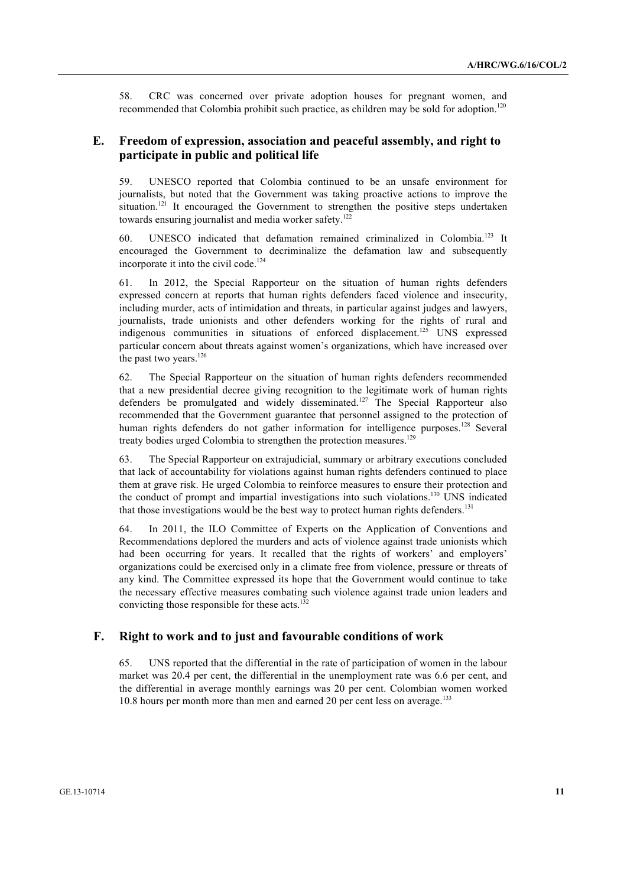58. CRC was concerned over private adoption houses for pregnant women, and recommended that Colombia prohibit such practice, as children may be sold for adoption.<sup>120</sup>

### **E. Freedom of expression, association and peaceful assembly, and right to participate in public and political life**

59. UNESCO reported that Colombia continued to be an unsafe environment for journalists, but noted that the Government was taking proactive actions to improve the situation.<sup>121</sup> It encouraged the Government to strengthen the positive steps undertaken towards ensuring journalist and media worker safety.<sup>12</sup>

60. UNESCO indicated that defamation remained criminalized in Colombia.<sup>123</sup> It encouraged the Government to decriminalize the defamation law and subsequently incorporate it into the civil code.<sup>124</sup>

61. In 2012, the Special Rapporteur on the situation of human rights defenders expressed concern at reports that human rights defenders faced violence and insecurity, including murder, acts of intimidation and threats, in particular against judges and lawyers, journalists, trade unionists and other defenders working for the rights of rural and indigenous communities in situations of enforced displacement.<sup>125</sup> UNS expressed particular concern about threats against women's organizations, which have increased over the past two years.<sup>126</sup>

62. The Special Rapporteur on the situation of human rights defenders recommended that a new presidential decree giving recognition to the legitimate work of human rights defenders be promulgated and widely disseminated.<sup>127</sup> The Special Rapporteur also recommended that the Government guarantee that personnel assigned to the protection of human rights defenders do not gather information for intelligence purposes.<sup>128</sup> Several treaty bodies urged Colombia to strengthen the protection measures.<sup>129</sup>

63. The Special Rapporteur on extrajudicial, summary or arbitrary executions concluded that lack of accountability for violations against human rights defenders continued to place them at grave risk. He urged Colombia to reinforce measures to ensure their protection and the conduct of prompt and impartial investigations into such violations.<sup>130</sup> UNS indicated that those investigations would be the best way to protect human rights defenders. 131

64. In 2011, the ILO Committee of Experts on the Application of Conventions and Recommendations deplored the murders and acts of violence against trade unionists which had been occurring for years. It recalled that the rights of workers' and employers' organizations could be exercised only in a climate free from violence, pressure or threats of any kind. The Committee expressed its hope that the Government would continue to take the necessary effective measures combating such violence against trade union leaders and convicting those responsible for these acts.<sup>132</sup>

#### **F. Right to work and to just and favourable conditions of work**

65. UNS reported that the differential in the rate of participation of women in the labour market was 20.4 per cent, the differential in the unemployment rate was 6.6 per cent, and the differential in average monthly earnings was 20 per cent. Colombian women worked 10.8 hours per month more than men and earned 20 per cent less on average.<sup>133</sup>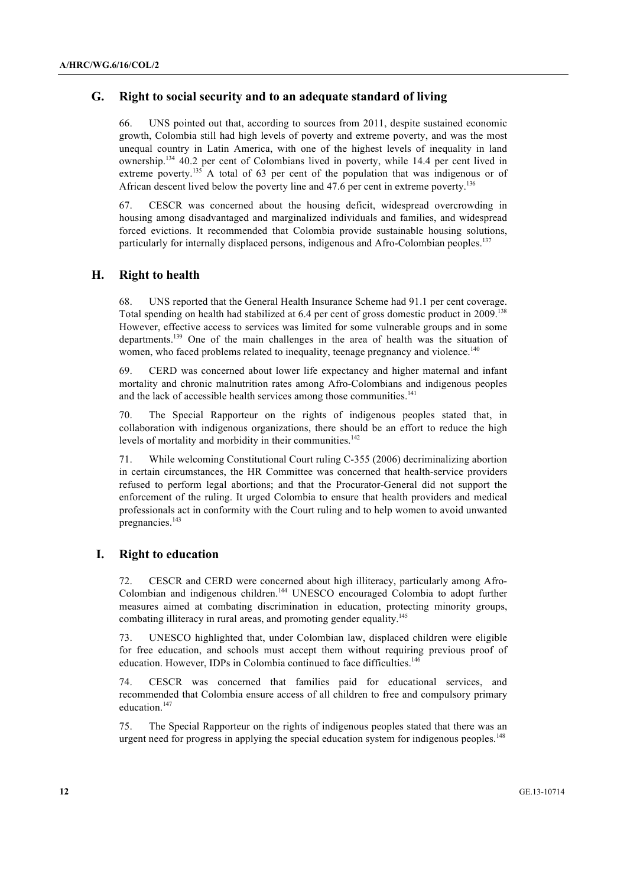### **G. Right to social security and to an adequate standard of living**

66. UNS pointed out that, according to sources from 2011, despite sustained economic growth, Colombia still had high levels of poverty and extreme poverty, and was the most unequal country in Latin America, with one of the highest levels of inequality in land ownership.134 40.2 per cent of Colombians lived in poverty, while 14.4 per cent lived in extreme poverty.<sup>135</sup> A total of 63 per cent of the population that was indigenous or of African descent lived below the poverty line and 47.6 per cent in extreme poverty.<sup>136</sup>

67. CESCR was concerned about the housing deficit, widespread overcrowding in housing among disadvantaged and marginalized individuals and families, and widespread forced evictions. It recommended that Colombia provide sustainable housing solutions, particularly for internally displaced persons, indigenous and Afro-Colombian peoples.<sup>137</sup>

### **H. Right to health**

68. UNS reported that the General Health Insurance Scheme had 91.1 per cent coverage. Total spending on health had stabilized at 6.4 per cent of gross domestic product in 2009.<sup>138</sup> However, effective access to services was limited for some vulnerable groups and in some departments.139 One of the main challenges in the area of health was the situation of women, who faced problems related to inequality, teenage pregnancy and violence.<sup>140</sup>

69. CERD was concerned about lower life expectancy and higher maternal and infant mortality and chronic malnutrition rates among Afro-Colombians and indigenous peoples and the lack of accessible health services among those communities.<sup>141</sup>

70. The Special Rapporteur on the rights of indigenous peoples stated that, in collaboration with indigenous organizations, there should be an effort to reduce the high levels of mortality and morbidity in their communities.<sup>142</sup>

71. While welcoming Constitutional Court ruling C-355 (2006) decriminalizing abortion in certain circumstances, the HR Committee was concerned that health-service providers refused to perform legal abortions; and that the Procurator-General did not support the enforcement of the ruling. It urged Colombia to ensure that health providers and medical professionals act in conformity with the Court ruling and to help women to avoid unwanted pregnancies.<sup>143</sup>

#### **I. Right to education**

72. CESCR and CERD were concerned about high illiteracy, particularly among Afro-Colombian and indigenous children.<sup>144</sup> UNESCO encouraged Colombia to adopt further measures aimed at combating discrimination in education, protecting minority groups, combating illiteracy in rural areas, and promoting gender equality.<sup>145</sup>

73. UNESCO highlighted that, under Colombian law, displaced children were eligible for free education, and schools must accept them without requiring previous proof of education. However, IDPs in Colombia continued to face difficulties.<sup>146</sup>

74. CESCR was concerned that families paid for educational services, and recommended that Colombia ensure access of all children to free and compulsory primary education.<sup>147</sup>

75. The Special Rapporteur on the rights of indigenous peoples stated that there was an urgent need for progress in applying the special education system for indigenous peoples.<sup>148</sup>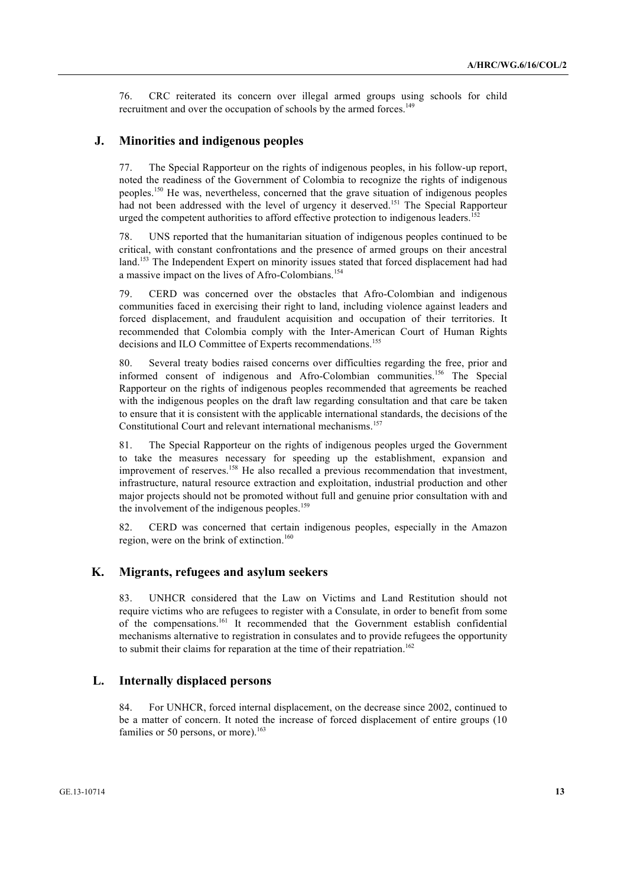76. CRC reiterated its concern over illegal armed groups using schools for child recruitment and over the occupation of schools by the armed forces.<sup>149</sup>

#### **J. Minorities and indigenous peoples**

77. The Special Rapporteur on the rights of indigenous peoples, in his follow-up report, noted the readiness of the Government of Colombia to recognize the rights of indigenous peoples.<sup>150</sup> He was, nevertheless, concerned that the grave situation of indigenous peoples had not been addressed with the level of urgency it deserved.<sup>151</sup> The Special Rapporteur urged the competent authorities to afford effective protection to indigenous leaders.<sup>15</sup>

78. UNS reported that the humanitarian situation of indigenous peoples continued to be critical, with constant confrontations and the presence of armed groups on their ancestral land.<sup>153</sup> The Independent Expert on minority issues stated that forced displacement had had a massive impact on the lives of Afro-Colombians.<sup>154</sup>

79. CERD was concerned over the obstacles that Afro-Colombian and indigenous communities faced in exercising their right to land, including violence against leaders and forced displacement, and fraudulent acquisition and occupation of their territories. It recommended that Colombia comply with the Inter-American Court of Human Rights decisions and ILO Committee of Experts recommendations.<sup>155</sup>

80. Several treaty bodies raised concerns over difficulties regarding the free, prior and informed consent of indigenous and Afro-Colombian communities.<sup>156</sup> The Special Rapporteur on the rights of indigenous peoples recommended that agreements be reached with the indigenous peoples on the draft law regarding consultation and that care be taken to ensure that it is consistent with the applicable international standards, the decisions of the Constitutional Court and relevant international mechanisms.<sup>157</sup>

81. The Special Rapporteur on the rights of indigenous peoples urged the Government to take the measures necessary for speeding up the establishment, expansion and improvement of reserves.<sup>158</sup> He also recalled a previous recommendation that investment, infrastructure, natural resource extraction and exploitation, industrial production and other major projects should not be promoted without full and genuine prior consultation with and the involvement of the indigenous peoples.<sup>159</sup>

82. CERD was concerned that certain indigenous peoples, especially in the Amazon region, were on the brink of extinction.<sup>160</sup>

#### **K. Migrants, refugees and asylum seekers**

83. UNHCR considered that the Law on Victims and Land Restitution should not require victims who are refugees to register with a Consulate, in order to benefit from some of the compensations.161 It recommended that the Government establish confidential mechanisms alternative to registration in consulates and to provide refugees the opportunity to submit their claims for reparation at the time of their repatriation.<sup>162</sup>

#### **L. Internally displaced persons**

84. For UNHCR, forced internal displacement, on the decrease since 2002, continued to be a matter of concern. It noted the increase of forced displacement of entire groups (10 families or 50 persons, or more).<sup>163</sup>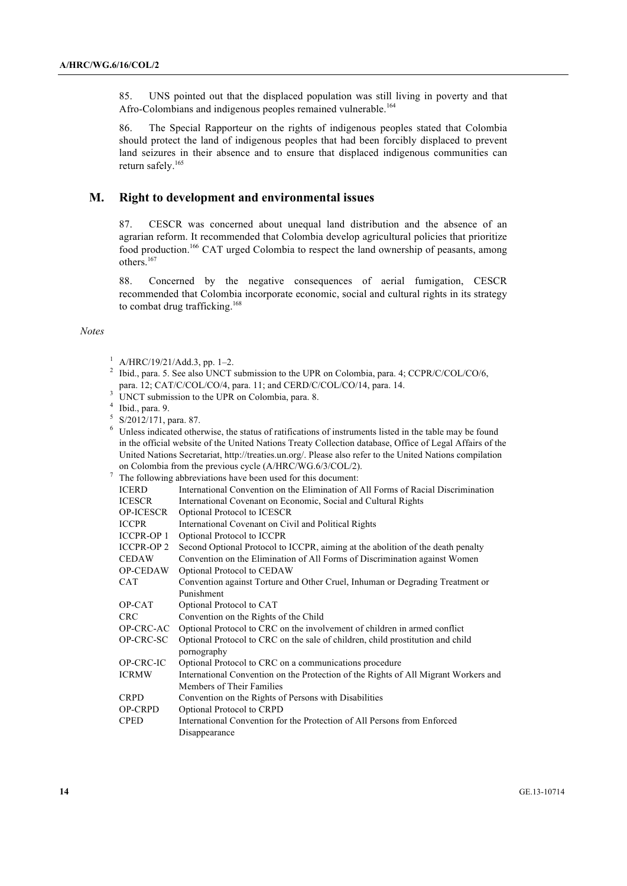85. UNS pointed out that the displaced population was still living in poverty and that Afro-Colombians and indigenous peoples remained vulnerable.<sup>164</sup>

86. The Special Rapporteur on the rights of indigenous peoples stated that Colombia should protect the land of indigenous peoples that had been forcibly displaced to prevent land seizures in their absence and to ensure that displaced indigenous communities can return safely.165

#### **M. Right to development and environmental issues**

87. CESCR was concerned about unequal land distribution and the absence of an agrarian reform. It recommended that Colombia develop agricultural policies that prioritize food production.166 CAT urged Colombia to respect the land ownership of peasants, among others.<sup>167</sup>

88. Concerned by the negative consequences of aerial fumigation, CESCR recommended that Colombia incorporate economic, social and cultural rights in its strategy to combat drug trafficking.<sup>168</sup>

#### *Notes*

- <sup>2</sup> Ibid., para. 5. See also UNCT submission to the UPR on Colombia, para. 4; CCPR/C/COL/CO/6, para. 12; CAT/C/COL/CO/4, para. 11; and CERD/C/COL/CO/14, para. 14.
- $3$  UNCT submission to the UPR on Colombia, para. 8.
- $4$  Ibid., para. 9.
- $5 \times 2012/171$ , para. 87.

<sup>6</sup> Unless indicated otherwise, the status of ratifications of instruments listed in the table may be found in the official website of the United Nations Treaty Collection database, Office of Legal Affairs of the United Nations Secretariat, http://treaties.un.org/. Please also refer to the United Nations compilation on Colombia from the previous cycle (A/HRC/WG.6/3/COL/2).

<sup>7</sup> The following abbreviations have been used for this document:

|                   | The Tonowing abore viations have been ased for this document.                       |
|-------------------|-------------------------------------------------------------------------------------|
| <b>ICERD</b>      | International Convention on the Elimination of All Forms of Racial Discrimination   |
| <b>ICESCR</b>     | International Covenant on Economic, Social and Cultural Rights                      |
| <b>OP-ICESCR</b>  | Optional Protocol to ICESCR                                                         |
| <b>ICCPR</b>      | International Covenant on Civil and Political Rights                                |
| <b>ICCPR-OP 1</b> | Optional Protocol to ICCPR                                                          |
| <b>ICCPR-OP 2</b> | Second Optional Protocol to ICCPR, aiming at the abolition of the death penalty     |
| <b>CEDAW</b>      | Convention on the Elimination of All Forms of Discrimination against Women          |
| <b>OP-CEDAW</b>   | Optional Protocol to CEDAW                                                          |
| <b>CAT</b>        | Convention against Torture and Other Cruel, Inhuman or Degrading Treatment or       |
|                   | Punishment                                                                          |
| OP-CAT            | Optional Protocol to CAT                                                            |
| <b>CRC</b>        | Convention on the Rights of the Child                                               |
| OP-CRC-AC         | Optional Protocol to CRC on the involvement of children in armed conflict           |
| OP-CRC-SC         | Optional Protocol to CRC on the sale of children, child prostitution and child      |
|                   | pornography                                                                         |
| OP-CRC-IC         | Optional Protocol to CRC on a communications procedure                              |
| <b>ICRMW</b>      | International Convention on the Protection of the Rights of All Migrant Workers and |
|                   | Members of Their Families                                                           |
| <b>CRPD</b>       | Convention on the Rights of Persons with Disabilities                               |
| <b>OP-CRPD</b>    | Optional Protocol to CRPD                                                           |
| <b>CPED</b>       | International Convention for the Protection of All Persons from Enforced            |
|                   | Disappearance                                                                       |
|                   |                                                                                     |

 $1$  A/HRC/19/21/Add.3, pp. 1-2.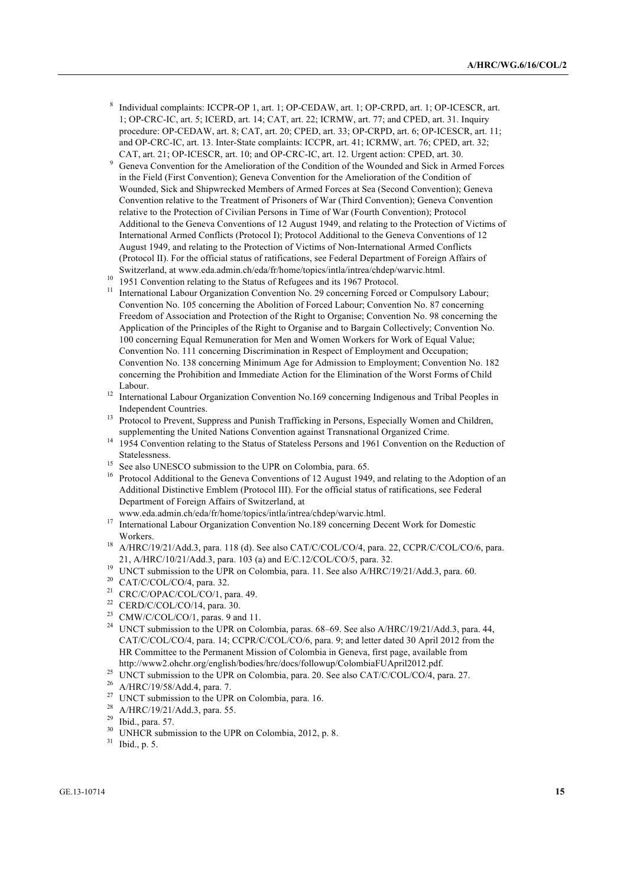- <sup>8</sup> Individual complaints: ICCPR-OP 1, art. 1; OP-CEDAW, art. 1; OP-CRPD, art. 1; OP-ICESCR, art. 1; OP-CRC-IC, art. 5; ICERD, art. 14; CAT, art. 22; ICRMW, art. 77; and CPED, art. 31. Inquiry procedure: OP-CEDAW, art. 8; CAT, art. 20; CPED, art. 33; OP-CRPD, art. 6; OP-ICESCR, art. 11; and OP-CRC-IC, art. 13. Inter-State complaints: ICCPR, art. 41; ICRMW, art. 76; CPED, art. 32; CAT, art. 21; OP-ICESCR, art. 10; and OP-CRC-IC, art. 12. Urgent action: CPED, art. 30.
- <sup>9</sup> Geneva Convention for the Amelioration of the Condition of the Wounded and Sick in Armed Forces in the Field (First Convention); Geneva Convention for the Amelioration of the Condition of Wounded, Sick and Shipwrecked Members of Armed Forces at Sea (Second Convention); Geneva Convention relative to the Treatment of Prisoners of War (Third Convention); Geneva Convention relative to the Protection of Civilian Persons in Time of War (Fourth Convention); Protocol Additional to the Geneva Conventions of 12 August 1949, and relating to the Protection of Victims of International Armed Conflicts (Protocol I); Protocol Additional to the Geneva Conventions of 12 August 1949, and relating to the Protection of Victims of Non-International Armed Conflicts (Protocol II). For the official status of ratifications, see Federal Department of Foreign Affairs of Switzerland, at www.eda.admin.ch/eda/fr/home/topics/intla/intrea/chdep/warvic.html.
- <sup>10</sup> 1951 Convention relating to the Status of Refugees and its 1967 Protocol.
- <sup>11</sup> International Labour Organization Convention No. 29 concerning Forced or Compulsory Labour; Convention No. 105 concerning the Abolition of Forced Labour; Convention No. 87 concerning Freedom of Association and Protection of the Right to Organise; Convention No. 98 concerning the Application of the Principles of the Right to Organise and to Bargain Collectively; Convention No. 100 concerning Equal Remuneration for Men and Women Workers for Work of Equal Value; Convention No. 111 concerning Discrimination in Respect of Employment and Occupation; Convention No. 138 concerning Minimum Age for Admission to Employment; Convention No. 182 concerning the Prohibition and Immediate Action for the Elimination of the Worst Forms of Child Labour.
- <sup>12</sup> International Labour Organization Convention No.169 concerning Indigenous and Tribal Peoples in Independent Countries.
- <sup>13</sup> Protocol to Prevent, Suppress and Punish Trafficking in Persons, Especially Women and Children, supplementing the United Nations Convention against Transnational Organized Crime.
- <sup>14</sup> 1954 Convention relating to the Status of Stateless Persons and 1961 Convention on the Reduction of Statelessness.
- <sup>15</sup> See also UNESCO submission to the UPR on Colombia, para. 65.
- <sup>16</sup> Protocol Additional to the Geneva Conventions of 12 August 1949, and relating to the Adoption of an Additional Distinctive Emblem (Protocol III). For the official status of ratifications, see Federal Department of Foreign Affairs of Switzerland, at
- www.eda.admin.ch/eda/fr/home/topics/intla/intrea/chdep/warvic.html.
- <sup>17</sup> International Labour Organization Convention No.189 concerning Decent Work for Domestic Workers.
- <sup>18</sup> A/HRC/19/21/Add.3, para. 118 (d). See also CAT/C/COL/CO/4, para. 22, CCPR/C/COL/CO/6, para. 21, A/HRC/10/21/Add.3, para. 103 (a) and E/C.12/COL/CO/5, para. 32.
- <sup>19</sup> UNCT submission to the UPR on Colombia, para. 11. See also A/HRC/19/21/Add.3, para. 60.
- <sup>20</sup> CAT/C/COL/CO/4, para. 32.
- <sup>21</sup> CRC/C/OPAC/COL/CO/1, para. 49.
- $22$  CERD/C/COL/CO/14, para. 30.
- <sup>23</sup> CMW/C/COL/CO/1, paras. 9 and 11.
- <sup>24</sup> UNCT submission to the UPR on Colombia, paras. 68–69. See also A/HRC/19/21/Add.3, para. 44, CAT/C/COL/CO/4, para. 14; CCPR/C/COL/CO/6, para. 9; and letter dated 30 April 2012 from the HR Committee to the Permanent Mission of Colombia in Geneva, first page, available from http://www2.ohchr.org/english/bodies/hrc/docs/followup/ColombiaFUApril2012.pdf.
- <sup>25</sup> UNCT submission to the UPR on Colombia, para. 20. See also CAT/C/COL/CO/4, para. 27.
- <sup>26</sup> A/HRC/19/58/Add.4, para. 7.
- <sup>27</sup> UNCT submission to the UPR on Colombia, para. 16.
- <sup>28</sup> A/HRC/19/21/Add.3, para. 55.
- <sup>29</sup> Ibid., para. 57.
- <sup>30</sup> UNHCR submission to the UPR on Colombia, 2012, p. 8.
- <sup>31</sup> Ibid., p. 5.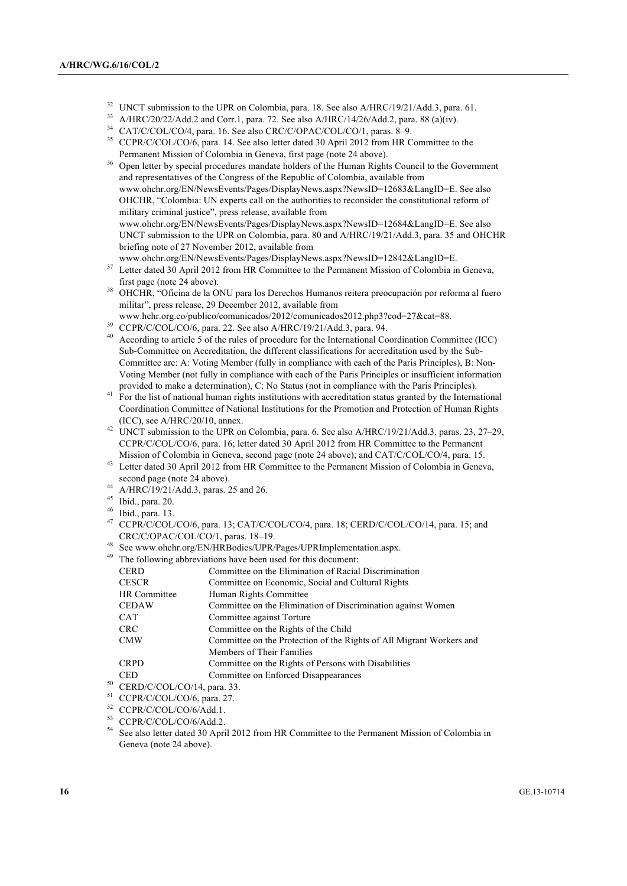- <sup>32</sup> UNCT submission to the UPR on Colombia, para. 18. See also A/HRC/19/21/Add.3, para. 61.<br><sup>33</sup> A/HDC/20/22/Add 2 and Camel, para. 72. See also A/HDC/14/2C/Add 2 ages, 88 (c)(is)
- <sup>33</sup> A/HRC/20/22/Add.2 and Corr.1, para. 72. See also A/HRC/14/26/Add.2, para. 88 (a)(iv).
- <sup>34</sup> CAT/C/COL/CO/4, para. 16. See also CRC/C/OPAC/COL/CO/1, paras. 8–9.
- <sup>35</sup> CCPR/C/COL/CO/6, para. 14. See also letter dated 30 April 2012 from HR Committee to the Permanent Mission of Colombia in Geneva, first page (note 24 above).
- <sup>36</sup> Open letter by special procedures mandate holders of the Human Rights Council to the Government and representatives of the Congress of the Republic of Colombia, available from www.ohchr.org/EN/NewsEvents/Pages/DisplayNews.aspx?NewsID=12683&LangID=E. See also OHCHR, "Colombia: UN experts call on the authorities to reconsider the constitutional reform of military criminal justice", press release, available from www.ohchr.org/EN/NewsEvents/Pages/DisplayNews.aspx?NewsID=12684&LangID=E. See also

UNCT submission to the UPR on Colombia, para. 80 and A/HRC/19/21/Add.3, para. 35 and OHCHR briefing note of 27 November 2012, available from

- www.ohchr.org/EN/NewsEvents/Pages/DisplayNews.aspx?NewsID=12842&LangID=E. <sup>37</sup> Letter dated 30 April 2012 from HR Committee to the Permanent Mission of Colombia in Geneva,
- first page (note 24 above).
- <sup>38</sup> OHCHR, "Oficina de la ONU para los Derechos Humanos reitera preocupación por reforma al fuero militar", press release, 29 December 2012, available from
- www.hchr.org.co/publico/comunicados/2012/comunicados2012.php3?cod=27&cat=88.
- <sup>39</sup> CCPR/C/COL/CO/6, para. 22. See also A/HRC/19/21/Add.3, para. 94.
- <sup>40</sup> According to article 5 of the rules of procedure for the International Coordination Committee (ICC) Sub-Committee on Accreditation, the different classifications for accreditation used by the Sub-Committee are: A: Voting Member (fully in compliance with each of the Paris Principles), B: Non-Voting Member (not fully in compliance with each of the Paris Principles or insufficient information provided to make a determination), C: No Status (not in compliance with the Paris Principles).
- <sup>41</sup> For the list of national human rights institutions with accreditation status granted by the International Coordination Committee of National Institutions for the Promotion and Protection of Human Rights (ICC), see A/HRC/20/10, annex.
- 42 UNCT submission to the UPR on Colombia, para. 6. See also A/HRC/19/21/Add.3, paras. 23, 27–29, CCPR/C/COL/CO/6, para. 16; letter dated 30 April 2012 from HR Committee to the Permanent Mission of Colombia in Geneva, second page (note 24 above); and CAT/C/COL/CO/4, para. 15.
- <sup>43</sup> Letter dated 30 April 2012 from HR Committee to the Permanent Mission of Colombia in Geneva, second page (note 24 above).
- <sup>44</sup> A/HRC/19/21/Add.3, paras. 25 and 26.
- <sup>45</sup> Ibid., para. 20.
- $^{46}$  Ibid., para. 13.
- <sup>47</sup> CCPR/C/COL/CO/6, para. 13; CAT/C/COL/CO/4, para. 18; CERD/C/COL/CO/14, para. 15; and CRC/C/OPAC/COL/CO/1, paras. 18–19.
- <sup>48</sup> See www.ohchr.org/EN/HRBodies/UPR/Pages/UPRImplementation.aspx.
- $49$  The following abbreviations have been used for this document:

| <b>CERD</b>  | Committee on the Elimination of Racial Discrimination                |
|--------------|----------------------------------------------------------------------|
| <b>CESCR</b> | Committee on Economic, Social and Cultural Rights                    |
| HR Committee | Human Rights Committee                                               |
| <b>CEDAW</b> | Committee on the Elimination of Discrimination against Women         |
| <b>CAT</b>   | Committee against Torture                                            |
| <b>CRC</b>   | Committee on the Rights of the Child                                 |
| <b>CMW</b>   | Committee on the Protection of the Rights of All Migrant Workers and |
|              | Members of Their Families                                            |
| <b>CRPD</b>  | Committee on the Rights of Persons with Disabilities                 |
| <b>CED</b>   | Committee on Enforced Disappearances                                 |
|              |                                                                      |

- $50$  CERD/C/COL/CO/14, para. 33.
- <sup>51</sup> CCPR/C/COL/CO/6, para. 27.
- <sup>52</sup> CCPR/C/COL/CO/6/Add.1.
- $^{53}$  CCPR/C/COL/CO/6/Add.2.
- <sup>54</sup> See also letter dated 30 April 2012 from HR Committee to the Permanent Mission of Colombia in Geneva (note 24 above).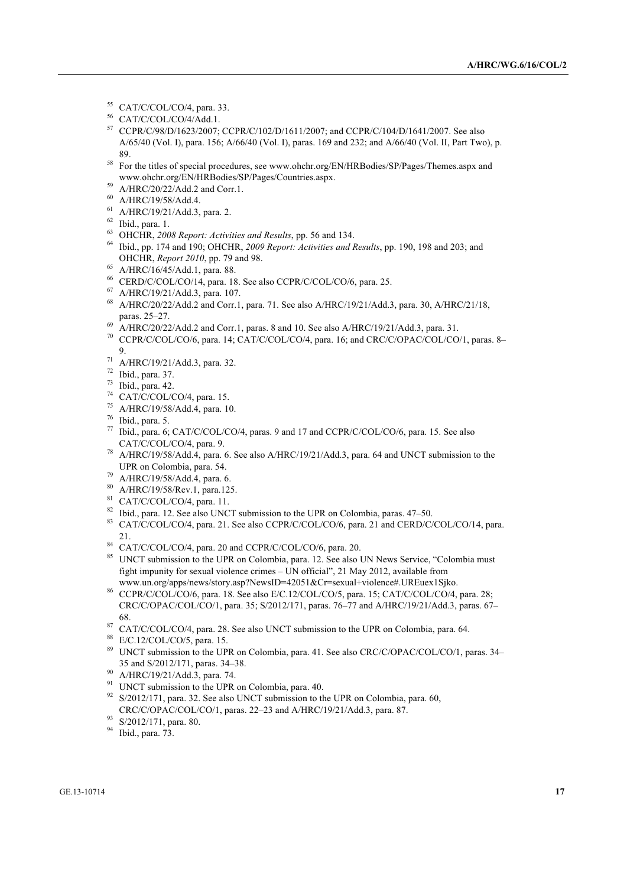- <sup>55</sup> CAT/C/COL/CO/4, para. 33.
- <sup>56</sup> CAT/C/COL/CO/4/Add.1.
- <sup>57</sup> CCPR/C/98/D/1623/2007; CCPR/C/102/D/1611/2007; and CCPR/C/104/D/1641/2007. See also A/65/40 (Vol. I), para. 156; A/66/40 (Vol. I), paras. 169 and 232; and A/66/40 (Vol. II, Part Two), p. 89.
- <sup>58</sup> For the titles of special procedures, see www.ohchr.org/EN/HRBodies/SP/Pages/Themes.aspx and www.ohchr.org/EN/HRBodies/SP/Pages/Countries.aspx.
- <sup>59</sup> A/HRC/20/22/Add.2 and Corr.1.
- <sup>60</sup> A/HRC/19/58/Add.4.
- <sup>61</sup> A/HRC/19/21/Add.3, para. 2.
- <sup>62</sup> Ibid., para. 1.
- <sup>63</sup> OHCHR, *2008 Report: Activities and Results*, pp. 56 and 134.
- <sup>64</sup> Ibid., pp. 174 and 190; OHCHR, *2009 Report: Activities and Results*, pp. 190, 198 and 203; and OHCHR, *Report 2010*, pp. 79 and 98.
- <sup>65</sup> A/HRC/16/45/Add.1, para. 88.
- $^{66}$  CERD/C/COL/CO/14, para. 18. See also CCPR/C/COL/CO/6, para. 25.  $^{67}$  A/HRC/19/21/Add.3, para. 107.
- 
- <sup>68</sup> A/HRC/20/22/Add.2 and Corr.1, para. 71. See also A/HRC/19/21/Add.3, para. 30, A/HRC/21/18,  $\frac{1}{20}$  paras. 25–27.
- <sup>69</sup> A/HRC/20/22/Add.2 and Corr.1, paras. 8 and 10. See also A/HRC/19/21/Add.3, para. 31.
- <sup>70</sup> CCPR/C/COL/CO/6, para. 14; CAT/C/COL/CO/4, para. 16; and CRC/C/OPAC/COL/CO/1, paras. 8– 9.
- <sup>71</sup> A/HRC/19/21/Add.3, para. 32.
- <sup>72</sup> Ibid., para. 37.
- <sup>73</sup> Ibid., para. 42.
- <sup>74</sup> CAT/C/COL/CO/4, para. 15.
- <sup>75</sup> A/HRC/19/58/Add.4, para. 10.
- <sup>76</sup> Ibid., para. 5.
- <sup>77</sup> Ibid., para. 6; CAT/C/COL/CO/4, paras. 9 and 17 and CCPR/C/COL/CO/6, para. 15. See also CAT/C/COL/CO/4, para. 9.
- <sup>78</sup> A/HRC/19/58/Add.4, para. 6. See also A/HRC/19/21/Add.3, para. 64 and UNCT submission to the UPR on Colombia, para. 54.
- <sup>79</sup> A/HRC/19/58/Add.4, para. 6.
- $^{80}$  A/HRC/19/58/Rev.1, para.125.<br><sup>81</sup> CAT/C/COL/CO/4, para. 11.
- 
- <sup>82</sup> Ibid., para. 12. See also UNCT submission to the UPR on Colombia, paras. 47–50.
- 83 CAT/C/COL/CO/4, para. 21. See also CCPR/C/COL/CO/6, para. 21 and CERD/C/COL/CO/14, para. 21.
- 84 CAT/C/COL/CO/4, para. 20 and CCPR/C/COL/CO/6, para. 20.
- <sup>85</sup> UNCT submission to the UPR on Colombia, para. 12. See also UN News Service, "Colombia must fight impunity for sexual violence crimes – UN official", 21 May 2012, available from www.un.org/apps/news/story.asp?NewsID=42051&Cr=sexual+violence#.UREuex1Sjko.
- 86 CCPR/C/COL/CO/6, para. 18. See also E/C.12/COL/CO/5, para. 15; CAT/C/COL/CO/4, para. 28; CRC/C/OPAC/COL/CO/1, para. 35; S/2012/171, paras. 76–77 and A/HRC/19/21/Add.3, paras. 67– 68.
- 87 CAT/C/COL/CO/4, para. 28. See also UNCT submission to the UPR on Colombia, para. 64.
- <sup>88</sup> E/C.12/COL/CO/5, para. 15.
- <sup>89</sup> UNCT submission to the UPR on Colombia, para. 41. See also CRC/C/OPAC/COL/CO/1, paras. 34– 35 and S/2012/171, paras. 34–38.
- 
- $^{90}$  A/HRC/19/21/Add.3, para. 74.<br><sup>91</sup> UNCT submission to the UPR on Colombia, para. 40.
- $92$  S/2012/171, para. 32. See also UNCT submission to the UPR on Colombia, para. 60, CRC/C/OPAC/COL/CO/1, paras. 22–23 and A/HRC/19/21/Add.3, para. 87.
- 93 S/2012/171, para. 80.
- <sup>94</sup> Ibid., para. 73.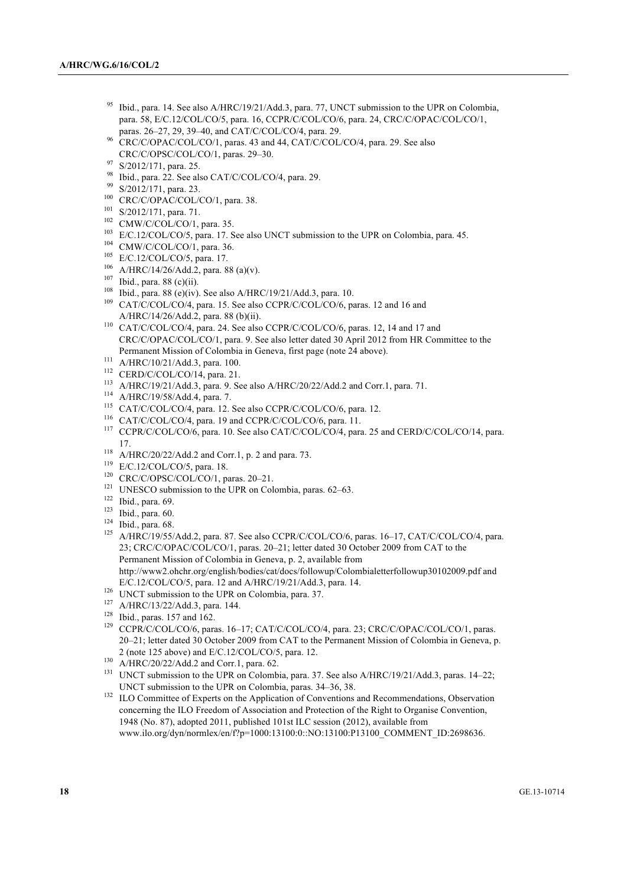- Ibid., para. 14. See also A/HRC/19/21/Add.3, para. 77, UNCT submission to the UPR on Colombia, para. 58, E/C.12/COL/CO/5, para. 16, CCPR/C/COL/CO/6, para. 24, CRC/C/OPAC/COL/CO/1, paras. 26–27, 29, 39–40, and CAT/C/COL/CO/4, para. 29.
- <sup>96</sup> CRC/C/OPAC/COL/CO/1, paras. 43 and 44, CAT/C/COL/CO/4, para. 29. See also CRC/C/OPSC/COL/CO/1, paras. 29–30.<br>S/2012/171, para. 25.
- 
- <sup>98</sup> Ibid., para. 22. See also CAT/C/COL/CO/4, para. 29.<br><sup>99</sup> S/2012/171, para. 23.
- 
- <sup>100</sup> CRC/C/OPAC/COL/CO/1, para. 38.
- <sup>101</sup> S/2012/171, para. 71.
- <sup>102</sup> CMW/C/COL/CO/1, para. 35.
- <sup>103</sup> E/C.12/COL/CO/5, para. 17. See also UNCT submission to the UPR on Colombia, para. 45.<br><sup>104</sup> CMW/C/COL/CO/1, para. 36.
- 
- <sup>105</sup> E/C.12/COL/CO/5, para. 17.
- <sup>106</sup> A/HRC/14/26/Add.2, para. 88 (a)(v).
- <sup>107</sup> Ibid., para. 88 (c)(ii).
- <sup>108</sup> Ibid., para. 88 (e)(iv). See also A/HRC/19/21/Add.3, para. 10.
- <sup>109</sup> CAT/C/COL/CO/4, para. 15. See also CCPR/C/COL/CO/6, paras. 12 and 16 and A/HRC/14/26/Add.2, para. 88 (b)(ii).
- <sup>110</sup> CAT/C/COL/CO/4, para. 24. See also CCPR/C/COL/CO/6, paras. 12, 14 and 17 and CRC/C/OPAC/COL/CO/1, para. 9. See also letter dated 30 April 2012 from HR Committee to the Permanent Mission of Colombia in Geneva, first page (note 24 above).<br>
A/HRC/10/21/Add.3, para. 100.
- 
- 
- <sup>112</sup> CERD/C/COL/CO/14, para. 21.<br><sup>113</sup> A/HRC/19/21/Add.3, para. 9. See also A/HRC/20/22/Add.2 and Corr.1, para. 71.
- <sup>114</sup> A/HRC/19/58/Add.4, para. 7.
- <sup>115</sup> CAT/C/COL/CO/4, para. 12. See also CCPR/C/COL/CO/6, para. 12.
- <sup>116</sup> CAT/C/COL/CO/4, para. 19 and CCPR/C/COL/CO/6, para. 11.
- <sup>117</sup> CCPR/C/COL/CO/6, para. 10. See also CAT/C/COL/CO/4, para. 25 and CERD/C/COL/CO/14, para. 17.
- <sup>118</sup> A/HRC/20/22/Add.2 and Corr.1, p. 2 and para. 73.
- <sup>119</sup> E/C.12/COL/CO/5, para. 18.
- <sup>120</sup> CRC/C/OPSC/COL/CO/1, paras. 20-21.
- <sup>121</sup> UNESCO submission to the UPR on Colombia, paras. 62–63.
- 
- $122 \text{ Ibid., para. } 69.$ <br>123 Ibid., para. 60.
- $124$  Ibid., para. 68.
- <sup>125</sup> A/HRC/19/55/Add.2, para. 87. See also CCPR/C/COL/CO/6, paras. 16–17, CAT/C/COL/CO/4, para. 23; CRC/C/OPAC/COL/CO/1, paras. 20–21; letter dated 30 October 2009 from CAT to the Permanent Mission of Colombia in Geneva, p. 2, available from http://www2.ohchr.org/english/bodies/cat/docs/followup/Colombialetterfollowup30102009.pdf and E/C.12/COL/CO/5, para. 12 and A/HRC/19/21/Add.3, para. 14.
- <sup>126</sup> UNCT submission to the UPR on Colombia, para. 37.
- <sup>127</sup> A/HRC/13/22/Add.3, para. 144.
- 128 Ibid., paras. 157 and 162.
- <sup>129</sup> CCPR/C/COL/CO/6, paras. 16-17; CAT/C/COL/CO/4, para. 23; CRC/C/OPAC/COL/CO/1, paras. 20–21; letter dated 30 October 2009 from CAT to the Permanent Mission of Colombia in Geneva, p. 2 (note 125 above) and E/C.12/COL/CO/5, para. 12.
- <sup>130</sup> A/HRC/20/22/Add.2 and Corr.1, para. 62.
- <sup>131</sup> UNCT submission to the UPR on Colombia, para. 37. See also A/HRC/19/21/Add.3, paras. 14–22; UNCT submission to the UPR on Colombia, paras. 34–36, 38.
- <sup>132</sup> ILO Committee of Experts on the Application of Conventions and Recommendations, Observation concerning the ILO Freedom of Association and Protection of the Right to Organise Convention, 1948 (No. 87), adopted 2011, published 101st ILC session (2012), available from www.ilo.org/dyn/normlex/en/f?p=1000:13100:0::NO:13100:P13100\_COMMENT\_ID:2698636.